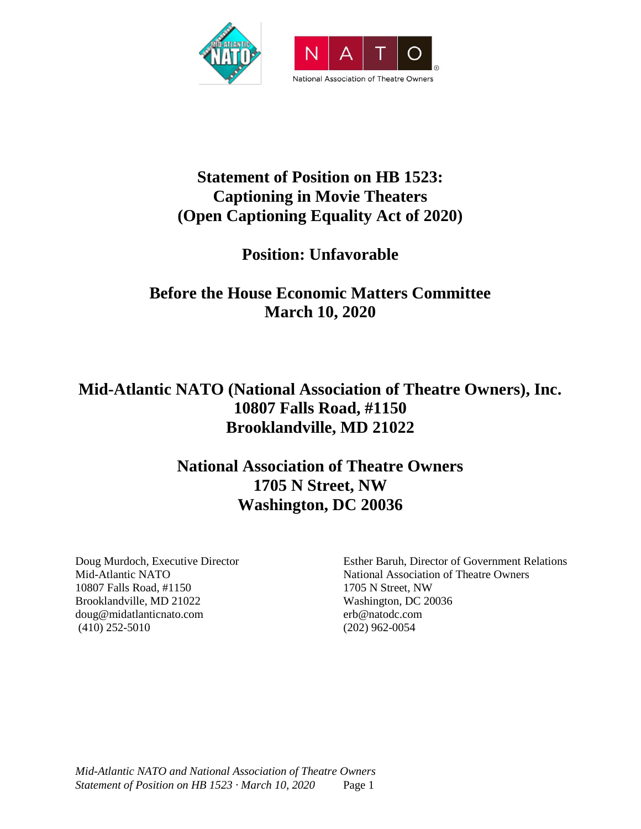

# **Statement of Position on HB 1523: Captioning in Movie Theaters (Open Captioning Equality Act of 2020)**

# **Position: Unfavorable**

# **Before the House Economic Matters Committee March 10, 2020**

# **Mid-Atlantic NATO (National Association of Theatre Owners), Inc. 10807 Falls Road, #1150 Brooklandville, MD 21022**

# **National Association of Theatre Owners 1705 N Street, NW Washington, DC 20036**

Doug Murdoch, Executive Director Mid-Atlantic NATO 10807 Falls Road, #1150 Brooklandville, MD 21022 doug@midatlanticnato.com (410) 252-5010

Esther Baruh, Director of Government Relations National Association of Theatre Owners 1705 N Street, NW Washington, DC 20036 erb@natodc.com (202) 962-0054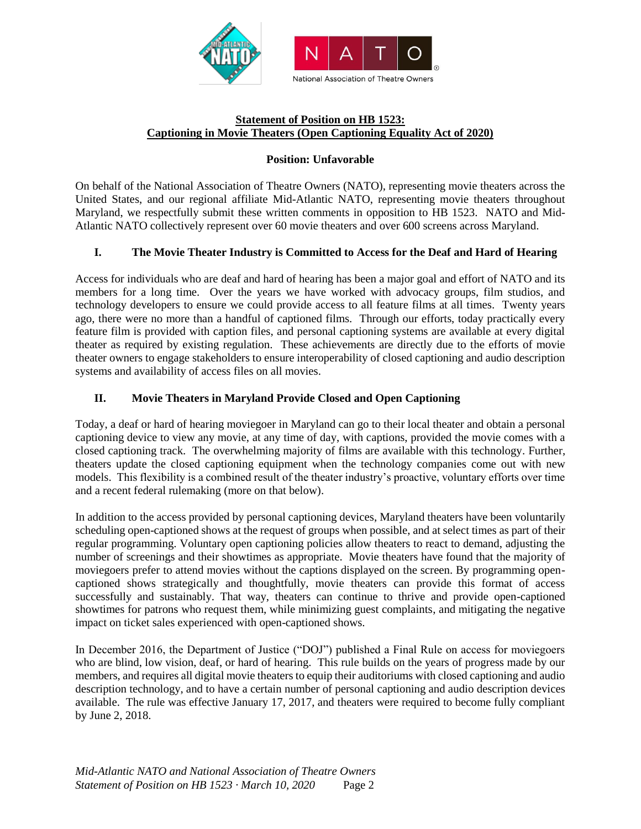

#### **Statement of Position on HB 1523: Captioning in Movie Theaters (Open Captioning Equality Act of 2020)**

#### **Position: Unfavorable**

On behalf of the National Association of Theatre Owners (NATO), representing movie theaters across the United States, and our regional affiliate Mid-Atlantic NATO, representing movie theaters throughout Maryland, we respectfully submit these written comments in opposition to HB 1523. NATO and Mid-Atlantic NATO collectively represent over 60 movie theaters and over 600 screens across Maryland.

### **I. The Movie Theater Industry is Committed to Access for the Deaf and Hard of Hearing**

Access for individuals who are deaf and hard of hearing has been a major goal and effort of NATO and its members for a long time. Over the years we have worked with advocacy groups, film studios, and technology developers to ensure we could provide access to all feature films at all times. Twenty years ago, there were no more than a handful of captioned films. Through our efforts, today practically every feature film is provided with caption files, and personal captioning systems are available at every digital theater as required by existing regulation. These achievements are directly due to the efforts of movie theater owners to engage stakeholders to ensure interoperability of closed captioning and audio description systems and availability of access files on all movies.

### **II. Movie Theaters in Maryland Provide Closed and Open Captioning**

Today, a deaf or hard of hearing moviegoer in Maryland can go to their local theater and obtain a personal captioning device to view any movie, at any time of day, with captions, provided the movie comes with a closed captioning track. The overwhelming majority of films are available with this technology. Further, theaters update the closed captioning equipment when the technology companies come out with new models. This flexibility is a combined result of the theater industry's proactive, voluntary efforts over time and a recent federal rulemaking (more on that below).

In addition to the access provided by personal captioning devices, Maryland theaters have been voluntarily scheduling open-captioned shows at the request of groups when possible, and at select times as part of their regular programming. Voluntary open captioning policies allow theaters to react to demand, adjusting the number of screenings and their showtimes as appropriate. Movie theaters have found that the majority of moviegoers prefer to attend movies without the captions displayed on the screen. By programming opencaptioned shows strategically and thoughtfully, movie theaters can provide this format of access successfully and sustainably. That way, theaters can continue to thrive and provide open-captioned showtimes for patrons who request them, while minimizing guest complaints, and mitigating the negative impact on ticket sales experienced with open-captioned shows.

In December 2016, the Department of Justice ("DOJ") published a Final Rule on access for moviegoers who are blind, low vision, deaf, or hard of hearing. This rule builds on the years of progress made by our members, and requires all digital movie theaters to equip their auditoriums with closed captioning and audio description technology, and to have a certain number of personal captioning and audio description devices available. The rule was effective January 17, 2017, and theaters were required to become fully compliant by June 2, 2018.